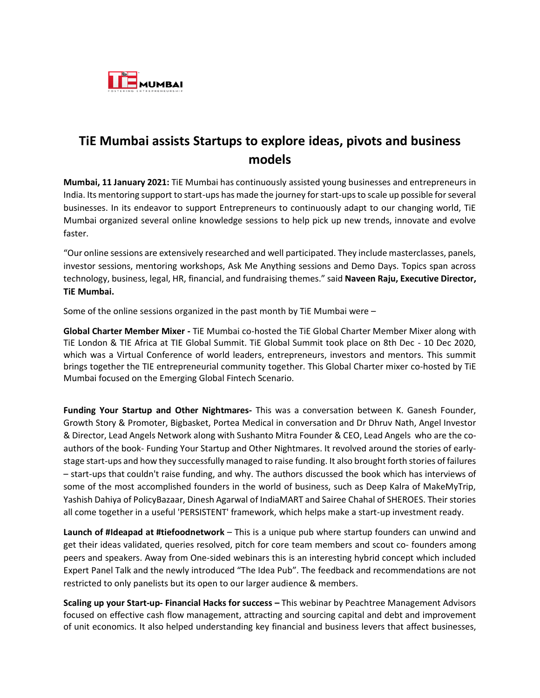

## **TiE Mumbai assists Startups to explore ideas, pivots and business models**

**Mumbai, 11 January 2021:** TiE Mumbai has continuously assisted young businesses and entrepreneurs in India. Its mentoring support to start-ups has made the journey forstart-upsto scale up possible for several businesses. In its endeavor to support Entrepreneurs to continuously adapt to our changing world, TiE Mumbai organized several online knowledge sessions to help pick up new trends, innovate and evolve faster.

"Our online sessions are extensively researched and well participated. They include masterclasses, panels, investor sessions, mentoring workshops, Ask Me Anything sessions and Demo Days. Topics span across technology, business, legal, HR, financial, and fundraising themes." said **Naveen Raju, Executive Director, TiE Mumbai.**

Some of the online sessions organized in the past month by TiE Mumbai were –

**Global Charter Member Mixer -** TiE Mumbai co-hosted the TiE Global Charter Member Mixer along with TiE London & TIE Africa at TIE Global Summit. TiE Global Summit took place on 8th Dec - 10 Dec 2020, which was a Virtual Conference of world leaders, entrepreneurs, investors and mentors. This summit brings together the TIE entrepreneurial community together. This Global Charter mixer co-hosted by TiE Mumbai focused on the Emerging Global Fintech Scenario.

**Funding Your Startup and Other Nightmares-** This was a conversation between K. Ganesh Founder, Growth Story & Promoter, Bigbasket, Portea Medical in conversation and Dr Dhruv Nath, Angel Investor & Director, Lead Angels Network along with Sushanto Mitra Founder & CEO, Lead Angels who are the coauthors of the book- Funding Your Startup and Other Nightmares. It revolved around the stories of earlystage start-ups and how they successfully managed to raise funding. It also brought forth stories of failures – start-ups that couldn't raise funding, and why. The authors discussed the book which has interviews of some of the most accomplished founders in the world of business, such as Deep Kalra of MakeMyTrip, Yashish Dahiya of PolicyBazaar, Dinesh Agarwal of IndiaMART and Sairee Chahal of SHEROES. Their stories all come together in a useful 'PERSISTENT' framework, which helps make a start-up investment ready.

**Launch of #Ideapad at #tiefoodnetwork** – This is a unique pub where startup founders can unwind and get their ideas validated, queries resolved, pitch for core team members and scout co- founders among peers and speakers. Away from One-sided webinars this is an interesting hybrid concept which included Expert Panel Talk and the newly introduced "The Idea Pub". The feedback and recommendations are not restricted to only panelists but its open to our larger audience & members.

**Scaling up your Start-up- Financial Hacks for success –** This webinar by Peachtree Management Advisors focused on effective cash flow management, attracting and sourcing capital and debt and improvement of unit economics. It also helped understanding key financial and business levers that affect businesses,